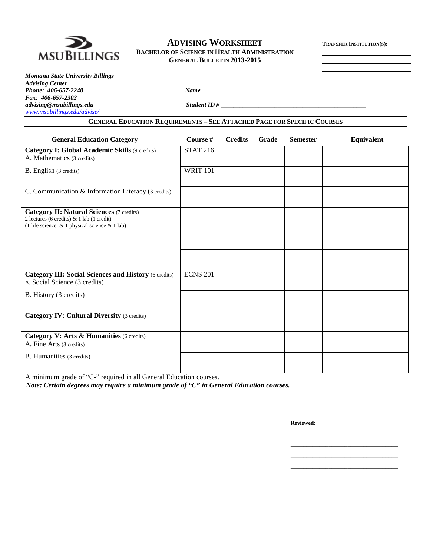

# **ADVISING WORKSHEET TRANSFER INSTITUTION(S): BACHELOR OF SCIENCE IN HEALTH ADMINISTRATION GENERAL BULLETIN 2013-2015**

| <b>Montana State University Billings</b> |
|------------------------------------------|
| <b>Advising Center</b>                   |
| Phone: 406-657-2240                      |
| Fax: 406-657-2302                        |
| advising@msubillings.edu                 |
| www.msubillings.edu/advise/              |

*Phone <i>Phone <i>Phone <i>Phone <i>Phone <i>Phone <i> <i> <i> <i><i>**<b> <i><i> <i><i> <i> <i> <i> <i> <b> <i> <b> <b> <b>*

*advising@msubillings.edu Student ID # \_\_\_\_\_\_\_\_\_\_\_\_\_\_\_\_\_\_\_\_\_\_\_\_\_\_\_\_\_\_\_\_\_\_\_\_\_\_\_\_\_\_\_\_\_\_*

# **GENERAL EDUCATION REQUIREMENTS – SEE ATTACHED PAGE FOR SPECIFIC COURSES**

| <b>General Education Category</b>                                                                                                                      | Course #        | <b>Credits</b> | Grade | <b>Semester</b> | Equivalent |
|--------------------------------------------------------------------------------------------------------------------------------------------------------|-----------------|----------------|-------|-----------------|------------|
| Category I: Global Academic Skills (9 credits)<br>A. Mathematics (3 credits)                                                                           | <b>STAT 216</b> |                |       |                 |            |
| B. English (3 credits)                                                                                                                                 | <b>WRIT 101</b> |                |       |                 |            |
| C. Communication & Information Literacy (3 credits)                                                                                                    |                 |                |       |                 |            |
| <b>Category II: Natural Sciences (7 credits)</b><br>2 lectures (6 credits) $& 1$ lab (1 credit)<br>(1 life science $\&$ 1 physical science $\&$ 1 lab) |                 |                |       |                 |            |
|                                                                                                                                                        |                 |                |       |                 |            |
|                                                                                                                                                        |                 |                |       |                 |            |
| <b>Category III: Social Sciences and History (6 credits)</b><br>A. Social Science (3 credits)                                                          | <b>ECNS 201</b> |                |       |                 |            |
| B. History (3 credits)                                                                                                                                 |                 |                |       |                 |            |
| <b>Category IV: Cultural Diversity (3 credits)</b>                                                                                                     |                 |                |       |                 |            |
| Category V: Arts & Humanities (6 credits)<br>A. Fine Arts (3 credits)                                                                                  |                 |                |       |                 |            |
| <b>B.</b> Humanities (3 credits)                                                                                                                       |                 |                |       |                 |            |

A minimum grade of "C-" required in all General Education courses.

*Note: Certain degrees may require a minimum grade of "C" in General Education courses.*

**Reviewed:**

\_\_\_\_\_\_\_\_\_\_\_\_\_\_\_\_\_\_\_\_\_\_\_\_\_\_\_\_\_\_\_\_\_\_ \_\_\_\_\_\_\_\_\_\_\_\_\_\_\_\_\_\_\_\_\_\_\_\_\_\_\_\_\_\_\_\_\_\_ \_\_\_\_\_\_\_\_\_\_\_\_\_\_\_\_\_\_\_\_\_\_\_\_\_\_\_\_\_\_\_\_\_\_ \_\_\_\_\_\_\_\_\_\_\_\_\_\_\_\_\_\_\_\_\_\_\_\_\_\_\_\_\_\_\_\_\_\_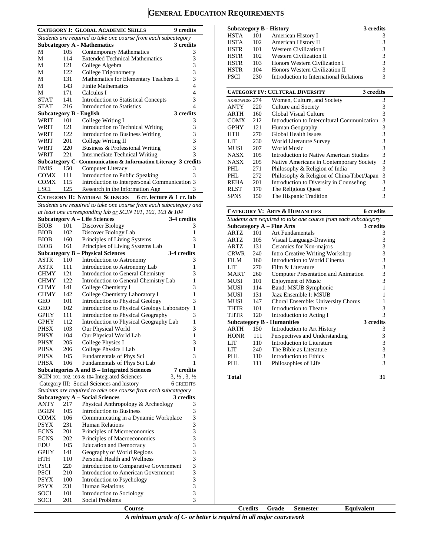# **GENERAL EDUCATION REQUIREMENTS**

| Students are required to take one course from each subcategory<br><b>HSTA</b><br>102<br>American History II<br><b>Subcategory A - Mathematics</b><br>3 credits<br><b>HSTR</b><br>101<br><b>Western Civilization I</b><br>М<br>105<br><b>Contemporary Mathematics</b><br>3<br><b>HSTR</b><br>102<br><b>Western Civilization II</b><br>3<br>М<br>114<br><b>Extended Technical Mathematics</b><br><b>HSTR</b><br>103<br>Honors Western Civilization I<br>3<br>121<br>М<br>College Algebra<br><b>HSTR</b><br>104<br>Honors Western Civilization II<br>3<br>122<br>College Trigonometry<br>М<br><b>PSCI</b><br>230<br>Introduction to International Relations<br>Mathematics for Elementary Teachers II<br>3<br>131<br>М<br>143<br><b>Finite Mathematics</b><br>4<br>М<br><b>CATEGORY IV: CULTURAL DIVERSITY</b><br>3 cre<br>4<br>171<br>Calculus I<br>М<br>3<br><b>STAT</b><br>141<br>A&SC/WGSS 274<br>Introduction to Statistical Concepts<br>Women, Culture, and Society<br>216<br><b>STAT</b><br>4<br>Introduction to Statistics<br>220<br>Culture and Society<br>ANTY<br><b>Subcategory B - English</b><br>3 credits<br><b>ARTH</b><br>160<br>Global Visual Culture<br>WRIT<br>101<br>3<br>College Writing I<br><b>COMX</b><br>212<br>Introduction to Intercultural Communicatio<br>3<br>WRIT<br>121<br>Introduction to Technical Writing<br><b>GPHY</b><br>121<br>Human Geography<br>122<br>3<br>WRIT<br>Introduction to Business Writing<br>270<br>HTH<br>Global Health Issues<br>3<br>WRIT<br>201<br><b>LIT</b><br>College Writing II<br>230<br>World Literature Survey<br><b>WRIT</b><br>220<br>3<br>Business & Professional Writing<br>207<br>MUSI<br>World Music<br>3<br>WRIT<br>221<br>Intermediate Technical Writing<br><b>NASX</b><br>105<br><b>Introduction to Native American Studies</b><br>Subcategory C- Communication & Information Literacy 3 credits<br><b>NASX</b><br>205<br>Native Americans in Contemporary Society<br><b>BMIS</b><br>150<br>PHL<br>271<br>Computer Literacy<br>3<br>Philosophy & Religion of India<br>3<br><b>COMX</b><br>111<br>Introduction to Public Speaking<br>PHL<br>272<br>Philosophy & Religion of China/Tibet/Japa<br><b>COMX</b><br>115<br>Introduction to Interpersonal Communication 3<br><b>REHA</b><br>201<br>Introduction to Diversity in Counseling<br><b>LSCI</b><br>125<br>Research in the Information Age<br>3<br>170<br><b>RLST</b><br>The Religious Quest<br><b>SPNS</b><br>150<br>The Hispanic Tradition<br><b>CATEGORY II: NATURAL SCIENCES</b><br>6 cr. lecture & 1 cr. lab<br>Students are required to take one course from each subcategory and<br><b>CATEGORY V: ARTS &amp; HUMANITIES</b><br>6 cre<br>at least one corresponding lab or SCIN 101, 102, 103 & 104<br><b>Subcategory A – Life Sciences</b><br>3-4 credits<br>Students are required to take one course from each subcatego<br>3<br><b>BIOB</b><br>101<br>Discover Biology<br><b>Subcategory A - Fine Arts</b><br>3 cre<br><b>BIOB</b><br>102<br>Discover Biology Lab<br>1<br>ARTZ<br>101<br><b>Art Fundamentals</b><br>3<br>160<br>Principles of Living Systems<br><b>BIOB</b><br>Visual Language-Drawing<br>ARTZ<br>105<br><b>BIOB</b><br>161<br>Principles of Living Systems Lab<br>1<br>ARTZ<br>131<br>Ceramics for Non-majors<br><b>Subcategory B - Physical Sciences</b><br>3-4 credits<br>240<br><b>CRWR</b><br>Intro Creative Writing Workshop<br>110<br>ASTR<br>Introduction to Astronomy<br>3<br><b>FILM</b><br>160<br>Introduction to World Cinema<br><b>ASTR</b><br>111<br>1<br>Introduction to Astronomy Lab<br><b>LIT</b><br>270<br>Film & Literature<br>3<br><b>CHMY</b><br>121<br>Introduction to General Chemistry<br><b>MART</b><br>260<br>Computer Presentation and Animation<br><b>CHMY</b><br>122<br>Introduction to General Chemistry Lab<br>1<br><b>MUSI</b><br><b>Enjoyment of Music</b><br>101<br><b>CHMY</b><br>141<br>College Chemistry I<br>3<br><b>MUSI</b><br>114<br>Band: MSUB Symphonic<br><b>CHMY</b><br>142<br>College Chemistry Laboratory I<br>1<br><b>MUSI</b><br>131<br>Jazz Ensemble I: MSUB<br>3<br><b>GEO</b><br>101<br>Introduction to Physical Geology<br><b>MUSI</b><br>147<br>Choral Ensemble: University Chorus<br>102<br><b>GEO</b><br>Introduction to Physical Geology Laboratory<br>-1<br><b>THTR</b><br>101<br>Introduction to Theatre<br><b>GPHY</b><br>111<br>Introduction to Physical Geography<br>3<br><b>THTR</b><br>120<br>Introduction to Acting I<br><b>GPHY</b><br>112<br>Introduction to Physical Geography Lab<br>1<br><b>Subcategory B - Humanities</b><br>3 cre<br><b>PHSX</b><br>103<br>3<br>Our Physical World<br><b>ARTH</b><br>150<br>Introduction to Art History<br>$\mathbf{1}$<br><b>PHSX</b><br>104<br>Our Physical World Lab<br><b>HONR</b><br>111<br>Perspectives and Understanding<br>College Physics I<br><b>PHSX</b><br>3<br>205<br>LIT<br>110<br>Introduction to Literature<br>College Physics I Lab<br>PHSX<br>206<br>1<br>LIT<br>240<br>The Bible as Literature<br><b>PHSX</b><br>Fundamentals of Phys Sci<br>3<br>PHL<br>105<br>110<br>Introduction to Ethics<br><b>PHSX</b><br>Fundamentals of Phys Sci Lab<br>106<br>1<br>PHL<br>Philosophies of Life<br>111<br>Subcategories A and B - Integrated Sciences<br>7 credits<br>SCIN 101, 102, 103 & 104 Integrated Sciences<br>$3, \frac{1}{2}, 3, \frac{1}{2}$<br><b>Total</b><br>Category III: Social Sciences and history<br><b>6 CREDITS</b><br>Students are required to take one course from each subcategory<br><b>Subcategory A – Social Sciences</b><br>3 credits<br>Physical Anthropology & Archeology<br>3<br>ANTY<br>217<br>3<br><b>BGEN</b><br>105<br>Introduction to Business<br>3<br><b>COMX</b><br>Communicating in a Dynamic Workplace<br>106<br>3<br><b>PSYX</b><br><b>Human Relations</b><br>231<br>3<br><b>ECNS</b><br>201<br>Principles of Microeconomics<br>3<br><b>ECNS</b><br>202<br>Principles of Macroeconomics<br>3<br>EDU<br>105<br><b>Education and Democracy</b><br><b>GPHY</b><br>3<br>141<br>Geography of World Regions<br>3<br>HTH<br>110<br>Personal Health and Wellness<br>3<br><b>PSCI</b><br>Introduction to Comparative Government<br>220<br>3<br><b>PSCI</b><br>210<br>Introduction to American Government<br>3<br><b>PSYX</b><br>100<br>Introduction to Psychology<br>3<br><b>PSYX</b><br>231<br>Human Relations<br><b>SOCI</b><br>101<br>Introduction to Sociology<br>3<br>3<br>SOCI<br>201<br>Social Problems<br><b>Course</b><br><b>Credits</b><br>Grade<br><b>Semester</b><br>Equivalent |  | <b>CATEGORY I: GLOBAL ACADEMIC SKILLS</b> | 9 credits |             |     | <b>Subcategory B - History</b> | 3 cre |
|-------------------------------------------------------------------------------------------------------------------------------------------------------------------------------------------------------------------------------------------------------------------------------------------------------------------------------------------------------------------------------------------------------------------------------------------------------------------------------------------------------------------------------------------------------------------------------------------------------------------------------------------------------------------------------------------------------------------------------------------------------------------------------------------------------------------------------------------------------------------------------------------------------------------------------------------------------------------------------------------------------------------------------------------------------------------------------------------------------------------------------------------------------------------------------------------------------------------------------------------------------------------------------------------------------------------------------------------------------------------------------------------------------------------------------------------------------------------------------------------------------------------------------------------------------------------------------------------------------------------------------------------------------------------------------------------------------------------------------------------------------------------------------------------------------------------------------------------------------------------------------------------------------------------------------------------------------------------------------------------------------------------------------------------------------------------------------------------------------------------------------------------------------------------------------------------------------------------------------------------------------------------------------------------------------------------------------------------------------------------------------------------------------------------------------------------------------------------------------------------------------------------------------------------------------------------------------------------------------------------------------------------------------------------------------------------------------------------------------------------------------------------------------------------------------------------------------------------------------------------------------------------------------------------------------------------------------------------------------------------------------------------------------------------------------------------------------------------------------------------------------------------------------------------------------------------------------------------------------------------------------------------------------------------------------------------------------------------------------------------------------------------------------------------------------------------------------------------------------------------------------------------------------------------------------------------------------------------------------------------------------------------------------------------------------------------------------------------------------------------------------------------------------------------------------------------------------------------------------------------------------------------------------------------------------------------------------------------------------------------------------------------------------------------------------------------------------------------------------------------------------------------------------------------------------------------------------------------------------------------------------------------------------------------------------------------------------------------------------------------------------------------------------------------------------------------------------------------------------------------------------------------------------------------------------------------------------------------------------------------------------------------------------------------------------------------------------------------------------------------------------------------------------------------------------------------------------------------------------------------------------------------------------------------------------------------------------------------------------------------------------------------------------------------------------------------------------------------------------------------------------------------------------------------------------------------------------------------------------------------------------------------------------------------------------------------------------------------------------------------------------------------------------------------------------------------------------------------------------------------------------------------------------------------------------------------------------------------------------------------------------------------------------------------------------------------------------------------------------------------------------------------------------------------------------------------------------------------------------------------------------------------------------------------------------------------------------------------------------------------------------------------------------------------------------------------------------------------------------------------------------------------------------------------------------------------------------------------------------------------------------------------------------------------------------------------------------------------------------------------------------------------------------------------------------------------------------------------------------------------------|--|-------------------------------------------|-----------|-------------|-----|--------------------------------|-------|
|                                                                                                                                                                                                                                                                                                                                                                                                                                                                                                                                                                                                                                                                                                                                                                                                                                                                                                                                                                                                                                                                                                                                                                                                                                                                                                                                                                                                                                                                                                                                                                                                                                                                                                                                                                                                                                                                                                                                                                                                                                                                                                                                                                                                                                                                                                                                                                                                                                                                                                                                                                                                                                                                                                                                                                                                                                                                                                                                                                                                                                                                                                                                                                                                                                                                                                                                                                                                                                                                                                                                                                                                                                                                                                                                                                                                                                                                                                                                                                                                                                                                                                                                                                                                                                                                                                                                                                                                                                                                                                                                                                                                                                                                                                                                                                                                                                                                                                                                                                                                                                                                                                                                                                                                                                                                                                                                                                                                                                                                                                                                                                                                                                                                                                                                                                                                                                                                                                                                                                                                                                                                                                                                                                                                                                                                                                                                                                                                                                                                                                 |  |                                           |           | <b>HSTA</b> | 101 | American History I             |       |
|                                                                                                                                                                                                                                                                                                                                                                                                                                                                                                                                                                                                                                                                                                                                                                                                                                                                                                                                                                                                                                                                                                                                                                                                                                                                                                                                                                                                                                                                                                                                                                                                                                                                                                                                                                                                                                                                                                                                                                                                                                                                                                                                                                                                                                                                                                                                                                                                                                                                                                                                                                                                                                                                                                                                                                                                                                                                                                                                                                                                                                                                                                                                                                                                                                                                                                                                                                                                                                                                                                                                                                                                                                                                                                                                                                                                                                                                                                                                                                                                                                                                                                                                                                                                                                                                                                                                                                                                                                                                                                                                                                                                                                                                                                                                                                                                                                                                                                                                                                                                                                                                                                                                                                                                                                                                                                                                                                                                                                                                                                                                                                                                                                                                                                                                                                                                                                                                                                                                                                                                                                                                                                                                                                                                                                                                                                                                                                                                                                                                                                 |  |                                           |           |             |     |                                |       |
|                                                                                                                                                                                                                                                                                                                                                                                                                                                                                                                                                                                                                                                                                                                                                                                                                                                                                                                                                                                                                                                                                                                                                                                                                                                                                                                                                                                                                                                                                                                                                                                                                                                                                                                                                                                                                                                                                                                                                                                                                                                                                                                                                                                                                                                                                                                                                                                                                                                                                                                                                                                                                                                                                                                                                                                                                                                                                                                                                                                                                                                                                                                                                                                                                                                                                                                                                                                                                                                                                                                                                                                                                                                                                                                                                                                                                                                                                                                                                                                                                                                                                                                                                                                                                                                                                                                                                                                                                                                                                                                                                                                                                                                                                                                                                                                                                                                                                                                                                                                                                                                                                                                                                                                                                                                                                                                                                                                                                                                                                                                                                                                                                                                                                                                                                                                                                                                                                                                                                                                                                                                                                                                                                                                                                                                                                                                                                                                                                                                                                                 |  |                                           |           |             |     |                                |       |
|                                                                                                                                                                                                                                                                                                                                                                                                                                                                                                                                                                                                                                                                                                                                                                                                                                                                                                                                                                                                                                                                                                                                                                                                                                                                                                                                                                                                                                                                                                                                                                                                                                                                                                                                                                                                                                                                                                                                                                                                                                                                                                                                                                                                                                                                                                                                                                                                                                                                                                                                                                                                                                                                                                                                                                                                                                                                                                                                                                                                                                                                                                                                                                                                                                                                                                                                                                                                                                                                                                                                                                                                                                                                                                                                                                                                                                                                                                                                                                                                                                                                                                                                                                                                                                                                                                                                                                                                                                                                                                                                                                                                                                                                                                                                                                                                                                                                                                                                                                                                                                                                                                                                                                                                                                                                                                                                                                                                                                                                                                                                                                                                                                                                                                                                                                                                                                                                                                                                                                                                                                                                                                                                                                                                                                                                                                                                                                                                                                                                                                 |  |                                           |           |             |     |                                |       |
|                                                                                                                                                                                                                                                                                                                                                                                                                                                                                                                                                                                                                                                                                                                                                                                                                                                                                                                                                                                                                                                                                                                                                                                                                                                                                                                                                                                                                                                                                                                                                                                                                                                                                                                                                                                                                                                                                                                                                                                                                                                                                                                                                                                                                                                                                                                                                                                                                                                                                                                                                                                                                                                                                                                                                                                                                                                                                                                                                                                                                                                                                                                                                                                                                                                                                                                                                                                                                                                                                                                                                                                                                                                                                                                                                                                                                                                                                                                                                                                                                                                                                                                                                                                                                                                                                                                                                                                                                                                                                                                                                                                                                                                                                                                                                                                                                                                                                                                                                                                                                                                                                                                                                                                                                                                                                                                                                                                                                                                                                                                                                                                                                                                                                                                                                                                                                                                                                                                                                                                                                                                                                                                                                                                                                                                                                                                                                                                                                                                                                                 |  |                                           |           |             |     |                                |       |
|                                                                                                                                                                                                                                                                                                                                                                                                                                                                                                                                                                                                                                                                                                                                                                                                                                                                                                                                                                                                                                                                                                                                                                                                                                                                                                                                                                                                                                                                                                                                                                                                                                                                                                                                                                                                                                                                                                                                                                                                                                                                                                                                                                                                                                                                                                                                                                                                                                                                                                                                                                                                                                                                                                                                                                                                                                                                                                                                                                                                                                                                                                                                                                                                                                                                                                                                                                                                                                                                                                                                                                                                                                                                                                                                                                                                                                                                                                                                                                                                                                                                                                                                                                                                                                                                                                                                                                                                                                                                                                                                                                                                                                                                                                                                                                                                                                                                                                                                                                                                                                                                                                                                                                                                                                                                                                                                                                                                                                                                                                                                                                                                                                                                                                                                                                                                                                                                                                                                                                                                                                                                                                                                                                                                                                                                                                                                                                                                                                                                                                 |  |                                           |           |             |     |                                |       |
|                                                                                                                                                                                                                                                                                                                                                                                                                                                                                                                                                                                                                                                                                                                                                                                                                                                                                                                                                                                                                                                                                                                                                                                                                                                                                                                                                                                                                                                                                                                                                                                                                                                                                                                                                                                                                                                                                                                                                                                                                                                                                                                                                                                                                                                                                                                                                                                                                                                                                                                                                                                                                                                                                                                                                                                                                                                                                                                                                                                                                                                                                                                                                                                                                                                                                                                                                                                                                                                                                                                                                                                                                                                                                                                                                                                                                                                                                                                                                                                                                                                                                                                                                                                                                                                                                                                                                                                                                                                                                                                                                                                                                                                                                                                                                                                                                                                                                                                                                                                                                                                                                                                                                                                                                                                                                                                                                                                                                                                                                                                                                                                                                                                                                                                                                                                                                                                                                                                                                                                                                                                                                                                                                                                                                                                                                                                                                                                                                                                                                                 |  |                                           |           |             |     |                                |       |
|                                                                                                                                                                                                                                                                                                                                                                                                                                                                                                                                                                                                                                                                                                                                                                                                                                                                                                                                                                                                                                                                                                                                                                                                                                                                                                                                                                                                                                                                                                                                                                                                                                                                                                                                                                                                                                                                                                                                                                                                                                                                                                                                                                                                                                                                                                                                                                                                                                                                                                                                                                                                                                                                                                                                                                                                                                                                                                                                                                                                                                                                                                                                                                                                                                                                                                                                                                                                                                                                                                                                                                                                                                                                                                                                                                                                                                                                                                                                                                                                                                                                                                                                                                                                                                                                                                                                                                                                                                                                                                                                                                                                                                                                                                                                                                                                                                                                                                                                                                                                                                                                                                                                                                                                                                                                                                                                                                                                                                                                                                                                                                                                                                                                                                                                                                                                                                                                                                                                                                                                                                                                                                                                                                                                                                                                                                                                                                                                                                                                                                 |  |                                           |           |             |     |                                |       |
|                                                                                                                                                                                                                                                                                                                                                                                                                                                                                                                                                                                                                                                                                                                                                                                                                                                                                                                                                                                                                                                                                                                                                                                                                                                                                                                                                                                                                                                                                                                                                                                                                                                                                                                                                                                                                                                                                                                                                                                                                                                                                                                                                                                                                                                                                                                                                                                                                                                                                                                                                                                                                                                                                                                                                                                                                                                                                                                                                                                                                                                                                                                                                                                                                                                                                                                                                                                                                                                                                                                                                                                                                                                                                                                                                                                                                                                                                                                                                                                                                                                                                                                                                                                                                                                                                                                                                                                                                                                                                                                                                                                                                                                                                                                                                                                                                                                                                                                                                                                                                                                                                                                                                                                                                                                                                                                                                                                                                                                                                                                                                                                                                                                                                                                                                                                                                                                                                                                                                                                                                                                                                                                                                                                                                                                                                                                                                                                                                                                                                                 |  |                                           |           |             |     |                                |       |
|                                                                                                                                                                                                                                                                                                                                                                                                                                                                                                                                                                                                                                                                                                                                                                                                                                                                                                                                                                                                                                                                                                                                                                                                                                                                                                                                                                                                                                                                                                                                                                                                                                                                                                                                                                                                                                                                                                                                                                                                                                                                                                                                                                                                                                                                                                                                                                                                                                                                                                                                                                                                                                                                                                                                                                                                                                                                                                                                                                                                                                                                                                                                                                                                                                                                                                                                                                                                                                                                                                                                                                                                                                                                                                                                                                                                                                                                                                                                                                                                                                                                                                                                                                                                                                                                                                                                                                                                                                                                                                                                                                                                                                                                                                                                                                                                                                                                                                                                                                                                                                                                                                                                                                                                                                                                                                                                                                                                                                                                                                                                                                                                                                                                                                                                                                                                                                                                                                                                                                                                                                                                                                                                                                                                                                                                                                                                                                                                                                                                                                 |  |                                           |           |             |     |                                |       |
|                                                                                                                                                                                                                                                                                                                                                                                                                                                                                                                                                                                                                                                                                                                                                                                                                                                                                                                                                                                                                                                                                                                                                                                                                                                                                                                                                                                                                                                                                                                                                                                                                                                                                                                                                                                                                                                                                                                                                                                                                                                                                                                                                                                                                                                                                                                                                                                                                                                                                                                                                                                                                                                                                                                                                                                                                                                                                                                                                                                                                                                                                                                                                                                                                                                                                                                                                                                                                                                                                                                                                                                                                                                                                                                                                                                                                                                                                                                                                                                                                                                                                                                                                                                                                                                                                                                                                                                                                                                                                                                                                                                                                                                                                                                                                                                                                                                                                                                                                                                                                                                                                                                                                                                                                                                                                                                                                                                                                                                                                                                                                                                                                                                                                                                                                                                                                                                                                                                                                                                                                                                                                                                                                                                                                                                                                                                                                                                                                                                                                                 |  |                                           |           |             |     |                                |       |
|                                                                                                                                                                                                                                                                                                                                                                                                                                                                                                                                                                                                                                                                                                                                                                                                                                                                                                                                                                                                                                                                                                                                                                                                                                                                                                                                                                                                                                                                                                                                                                                                                                                                                                                                                                                                                                                                                                                                                                                                                                                                                                                                                                                                                                                                                                                                                                                                                                                                                                                                                                                                                                                                                                                                                                                                                                                                                                                                                                                                                                                                                                                                                                                                                                                                                                                                                                                                                                                                                                                                                                                                                                                                                                                                                                                                                                                                                                                                                                                                                                                                                                                                                                                                                                                                                                                                                                                                                                                                                                                                                                                                                                                                                                                                                                                                                                                                                                                                                                                                                                                                                                                                                                                                                                                                                                                                                                                                                                                                                                                                                                                                                                                                                                                                                                                                                                                                                                                                                                                                                                                                                                                                                                                                                                                                                                                                                                                                                                                                                                 |  |                                           |           |             |     |                                |       |
|                                                                                                                                                                                                                                                                                                                                                                                                                                                                                                                                                                                                                                                                                                                                                                                                                                                                                                                                                                                                                                                                                                                                                                                                                                                                                                                                                                                                                                                                                                                                                                                                                                                                                                                                                                                                                                                                                                                                                                                                                                                                                                                                                                                                                                                                                                                                                                                                                                                                                                                                                                                                                                                                                                                                                                                                                                                                                                                                                                                                                                                                                                                                                                                                                                                                                                                                                                                                                                                                                                                                                                                                                                                                                                                                                                                                                                                                                                                                                                                                                                                                                                                                                                                                                                                                                                                                                                                                                                                                                                                                                                                                                                                                                                                                                                                                                                                                                                                                                                                                                                                                                                                                                                                                                                                                                                                                                                                                                                                                                                                                                                                                                                                                                                                                                                                                                                                                                                                                                                                                                                                                                                                                                                                                                                                                                                                                                                                                                                                                                                 |  |                                           |           |             |     |                                |       |
|                                                                                                                                                                                                                                                                                                                                                                                                                                                                                                                                                                                                                                                                                                                                                                                                                                                                                                                                                                                                                                                                                                                                                                                                                                                                                                                                                                                                                                                                                                                                                                                                                                                                                                                                                                                                                                                                                                                                                                                                                                                                                                                                                                                                                                                                                                                                                                                                                                                                                                                                                                                                                                                                                                                                                                                                                                                                                                                                                                                                                                                                                                                                                                                                                                                                                                                                                                                                                                                                                                                                                                                                                                                                                                                                                                                                                                                                                                                                                                                                                                                                                                                                                                                                                                                                                                                                                                                                                                                                                                                                                                                                                                                                                                                                                                                                                                                                                                                                                                                                                                                                                                                                                                                                                                                                                                                                                                                                                                                                                                                                                                                                                                                                                                                                                                                                                                                                                                                                                                                                                                                                                                                                                                                                                                                                                                                                                                                                                                                                                                 |  |                                           |           |             |     |                                |       |
|                                                                                                                                                                                                                                                                                                                                                                                                                                                                                                                                                                                                                                                                                                                                                                                                                                                                                                                                                                                                                                                                                                                                                                                                                                                                                                                                                                                                                                                                                                                                                                                                                                                                                                                                                                                                                                                                                                                                                                                                                                                                                                                                                                                                                                                                                                                                                                                                                                                                                                                                                                                                                                                                                                                                                                                                                                                                                                                                                                                                                                                                                                                                                                                                                                                                                                                                                                                                                                                                                                                                                                                                                                                                                                                                                                                                                                                                                                                                                                                                                                                                                                                                                                                                                                                                                                                                                                                                                                                                                                                                                                                                                                                                                                                                                                                                                                                                                                                                                                                                                                                                                                                                                                                                                                                                                                                                                                                                                                                                                                                                                                                                                                                                                                                                                                                                                                                                                                                                                                                                                                                                                                                                                                                                                                                                                                                                                                                                                                                                                                 |  |                                           |           |             |     |                                |       |
|                                                                                                                                                                                                                                                                                                                                                                                                                                                                                                                                                                                                                                                                                                                                                                                                                                                                                                                                                                                                                                                                                                                                                                                                                                                                                                                                                                                                                                                                                                                                                                                                                                                                                                                                                                                                                                                                                                                                                                                                                                                                                                                                                                                                                                                                                                                                                                                                                                                                                                                                                                                                                                                                                                                                                                                                                                                                                                                                                                                                                                                                                                                                                                                                                                                                                                                                                                                                                                                                                                                                                                                                                                                                                                                                                                                                                                                                                                                                                                                                                                                                                                                                                                                                                                                                                                                                                                                                                                                                                                                                                                                                                                                                                                                                                                                                                                                                                                                                                                                                                                                                                                                                                                                                                                                                                                                                                                                                                                                                                                                                                                                                                                                                                                                                                                                                                                                                                                                                                                                                                                                                                                                                                                                                                                                                                                                                                                                                                                                                                                 |  |                                           |           |             |     |                                |       |
|                                                                                                                                                                                                                                                                                                                                                                                                                                                                                                                                                                                                                                                                                                                                                                                                                                                                                                                                                                                                                                                                                                                                                                                                                                                                                                                                                                                                                                                                                                                                                                                                                                                                                                                                                                                                                                                                                                                                                                                                                                                                                                                                                                                                                                                                                                                                                                                                                                                                                                                                                                                                                                                                                                                                                                                                                                                                                                                                                                                                                                                                                                                                                                                                                                                                                                                                                                                                                                                                                                                                                                                                                                                                                                                                                                                                                                                                                                                                                                                                                                                                                                                                                                                                                                                                                                                                                                                                                                                                                                                                                                                                                                                                                                                                                                                                                                                                                                                                                                                                                                                                                                                                                                                                                                                                                                                                                                                                                                                                                                                                                                                                                                                                                                                                                                                                                                                                                                                                                                                                                                                                                                                                                                                                                                                                                                                                                                                                                                                                                                 |  |                                           |           |             |     |                                |       |
|                                                                                                                                                                                                                                                                                                                                                                                                                                                                                                                                                                                                                                                                                                                                                                                                                                                                                                                                                                                                                                                                                                                                                                                                                                                                                                                                                                                                                                                                                                                                                                                                                                                                                                                                                                                                                                                                                                                                                                                                                                                                                                                                                                                                                                                                                                                                                                                                                                                                                                                                                                                                                                                                                                                                                                                                                                                                                                                                                                                                                                                                                                                                                                                                                                                                                                                                                                                                                                                                                                                                                                                                                                                                                                                                                                                                                                                                                                                                                                                                                                                                                                                                                                                                                                                                                                                                                                                                                                                                                                                                                                                                                                                                                                                                                                                                                                                                                                                                                                                                                                                                                                                                                                                                                                                                                                                                                                                                                                                                                                                                                                                                                                                                                                                                                                                                                                                                                                                                                                                                                                                                                                                                                                                                                                                                                                                                                                                                                                                                                                 |  |                                           |           |             |     |                                |       |
|                                                                                                                                                                                                                                                                                                                                                                                                                                                                                                                                                                                                                                                                                                                                                                                                                                                                                                                                                                                                                                                                                                                                                                                                                                                                                                                                                                                                                                                                                                                                                                                                                                                                                                                                                                                                                                                                                                                                                                                                                                                                                                                                                                                                                                                                                                                                                                                                                                                                                                                                                                                                                                                                                                                                                                                                                                                                                                                                                                                                                                                                                                                                                                                                                                                                                                                                                                                                                                                                                                                                                                                                                                                                                                                                                                                                                                                                                                                                                                                                                                                                                                                                                                                                                                                                                                                                                                                                                                                                                                                                                                                                                                                                                                                                                                                                                                                                                                                                                                                                                                                                                                                                                                                                                                                                                                                                                                                                                                                                                                                                                                                                                                                                                                                                                                                                                                                                                                                                                                                                                                                                                                                                                                                                                                                                                                                                                                                                                                                                                                 |  |                                           |           |             |     |                                |       |
|                                                                                                                                                                                                                                                                                                                                                                                                                                                                                                                                                                                                                                                                                                                                                                                                                                                                                                                                                                                                                                                                                                                                                                                                                                                                                                                                                                                                                                                                                                                                                                                                                                                                                                                                                                                                                                                                                                                                                                                                                                                                                                                                                                                                                                                                                                                                                                                                                                                                                                                                                                                                                                                                                                                                                                                                                                                                                                                                                                                                                                                                                                                                                                                                                                                                                                                                                                                                                                                                                                                                                                                                                                                                                                                                                                                                                                                                                                                                                                                                                                                                                                                                                                                                                                                                                                                                                                                                                                                                                                                                                                                                                                                                                                                                                                                                                                                                                                                                                                                                                                                                                                                                                                                                                                                                                                                                                                                                                                                                                                                                                                                                                                                                                                                                                                                                                                                                                                                                                                                                                                                                                                                                                                                                                                                                                                                                                                                                                                                                                                 |  |                                           |           |             |     |                                |       |
|                                                                                                                                                                                                                                                                                                                                                                                                                                                                                                                                                                                                                                                                                                                                                                                                                                                                                                                                                                                                                                                                                                                                                                                                                                                                                                                                                                                                                                                                                                                                                                                                                                                                                                                                                                                                                                                                                                                                                                                                                                                                                                                                                                                                                                                                                                                                                                                                                                                                                                                                                                                                                                                                                                                                                                                                                                                                                                                                                                                                                                                                                                                                                                                                                                                                                                                                                                                                                                                                                                                                                                                                                                                                                                                                                                                                                                                                                                                                                                                                                                                                                                                                                                                                                                                                                                                                                                                                                                                                                                                                                                                                                                                                                                                                                                                                                                                                                                                                                                                                                                                                                                                                                                                                                                                                                                                                                                                                                                                                                                                                                                                                                                                                                                                                                                                                                                                                                                                                                                                                                                                                                                                                                                                                                                                                                                                                                                                                                                                                                                 |  |                                           |           |             |     |                                |       |
|                                                                                                                                                                                                                                                                                                                                                                                                                                                                                                                                                                                                                                                                                                                                                                                                                                                                                                                                                                                                                                                                                                                                                                                                                                                                                                                                                                                                                                                                                                                                                                                                                                                                                                                                                                                                                                                                                                                                                                                                                                                                                                                                                                                                                                                                                                                                                                                                                                                                                                                                                                                                                                                                                                                                                                                                                                                                                                                                                                                                                                                                                                                                                                                                                                                                                                                                                                                                                                                                                                                                                                                                                                                                                                                                                                                                                                                                                                                                                                                                                                                                                                                                                                                                                                                                                                                                                                                                                                                                                                                                                                                                                                                                                                                                                                                                                                                                                                                                                                                                                                                                                                                                                                                                                                                                                                                                                                                                                                                                                                                                                                                                                                                                                                                                                                                                                                                                                                                                                                                                                                                                                                                                                                                                                                                                                                                                                                                                                                                                                                 |  |                                           |           |             |     |                                |       |
|                                                                                                                                                                                                                                                                                                                                                                                                                                                                                                                                                                                                                                                                                                                                                                                                                                                                                                                                                                                                                                                                                                                                                                                                                                                                                                                                                                                                                                                                                                                                                                                                                                                                                                                                                                                                                                                                                                                                                                                                                                                                                                                                                                                                                                                                                                                                                                                                                                                                                                                                                                                                                                                                                                                                                                                                                                                                                                                                                                                                                                                                                                                                                                                                                                                                                                                                                                                                                                                                                                                                                                                                                                                                                                                                                                                                                                                                                                                                                                                                                                                                                                                                                                                                                                                                                                                                                                                                                                                                                                                                                                                                                                                                                                                                                                                                                                                                                                                                                                                                                                                                                                                                                                                                                                                                                                                                                                                                                                                                                                                                                                                                                                                                                                                                                                                                                                                                                                                                                                                                                                                                                                                                                                                                                                                                                                                                                                                                                                                                                                 |  |                                           |           |             |     |                                |       |
|                                                                                                                                                                                                                                                                                                                                                                                                                                                                                                                                                                                                                                                                                                                                                                                                                                                                                                                                                                                                                                                                                                                                                                                                                                                                                                                                                                                                                                                                                                                                                                                                                                                                                                                                                                                                                                                                                                                                                                                                                                                                                                                                                                                                                                                                                                                                                                                                                                                                                                                                                                                                                                                                                                                                                                                                                                                                                                                                                                                                                                                                                                                                                                                                                                                                                                                                                                                                                                                                                                                                                                                                                                                                                                                                                                                                                                                                                                                                                                                                                                                                                                                                                                                                                                                                                                                                                                                                                                                                                                                                                                                                                                                                                                                                                                                                                                                                                                                                                                                                                                                                                                                                                                                                                                                                                                                                                                                                                                                                                                                                                                                                                                                                                                                                                                                                                                                                                                                                                                                                                                                                                                                                                                                                                                                                                                                                                                                                                                                                                                 |  |                                           |           |             |     |                                |       |
|                                                                                                                                                                                                                                                                                                                                                                                                                                                                                                                                                                                                                                                                                                                                                                                                                                                                                                                                                                                                                                                                                                                                                                                                                                                                                                                                                                                                                                                                                                                                                                                                                                                                                                                                                                                                                                                                                                                                                                                                                                                                                                                                                                                                                                                                                                                                                                                                                                                                                                                                                                                                                                                                                                                                                                                                                                                                                                                                                                                                                                                                                                                                                                                                                                                                                                                                                                                                                                                                                                                                                                                                                                                                                                                                                                                                                                                                                                                                                                                                                                                                                                                                                                                                                                                                                                                                                                                                                                                                                                                                                                                                                                                                                                                                                                                                                                                                                                                                                                                                                                                                                                                                                                                                                                                                                                                                                                                                                                                                                                                                                                                                                                                                                                                                                                                                                                                                                                                                                                                                                                                                                                                                                                                                                                                                                                                                                                                                                                                                                                 |  |                                           |           |             |     |                                |       |
|                                                                                                                                                                                                                                                                                                                                                                                                                                                                                                                                                                                                                                                                                                                                                                                                                                                                                                                                                                                                                                                                                                                                                                                                                                                                                                                                                                                                                                                                                                                                                                                                                                                                                                                                                                                                                                                                                                                                                                                                                                                                                                                                                                                                                                                                                                                                                                                                                                                                                                                                                                                                                                                                                                                                                                                                                                                                                                                                                                                                                                                                                                                                                                                                                                                                                                                                                                                                                                                                                                                                                                                                                                                                                                                                                                                                                                                                                                                                                                                                                                                                                                                                                                                                                                                                                                                                                                                                                                                                                                                                                                                                                                                                                                                                                                                                                                                                                                                                                                                                                                                                                                                                                                                                                                                                                                                                                                                                                                                                                                                                                                                                                                                                                                                                                                                                                                                                                                                                                                                                                                                                                                                                                                                                                                                                                                                                                                                                                                                                                                 |  |                                           |           |             |     |                                |       |
|                                                                                                                                                                                                                                                                                                                                                                                                                                                                                                                                                                                                                                                                                                                                                                                                                                                                                                                                                                                                                                                                                                                                                                                                                                                                                                                                                                                                                                                                                                                                                                                                                                                                                                                                                                                                                                                                                                                                                                                                                                                                                                                                                                                                                                                                                                                                                                                                                                                                                                                                                                                                                                                                                                                                                                                                                                                                                                                                                                                                                                                                                                                                                                                                                                                                                                                                                                                                                                                                                                                                                                                                                                                                                                                                                                                                                                                                                                                                                                                                                                                                                                                                                                                                                                                                                                                                                                                                                                                                                                                                                                                                                                                                                                                                                                                                                                                                                                                                                                                                                                                                                                                                                                                                                                                                                                                                                                                                                                                                                                                                                                                                                                                                                                                                                                                                                                                                                                                                                                                                                                                                                                                                                                                                                                                                                                                                                                                                                                                                                                 |  |                                           |           |             |     |                                |       |
|                                                                                                                                                                                                                                                                                                                                                                                                                                                                                                                                                                                                                                                                                                                                                                                                                                                                                                                                                                                                                                                                                                                                                                                                                                                                                                                                                                                                                                                                                                                                                                                                                                                                                                                                                                                                                                                                                                                                                                                                                                                                                                                                                                                                                                                                                                                                                                                                                                                                                                                                                                                                                                                                                                                                                                                                                                                                                                                                                                                                                                                                                                                                                                                                                                                                                                                                                                                                                                                                                                                                                                                                                                                                                                                                                                                                                                                                                                                                                                                                                                                                                                                                                                                                                                                                                                                                                                                                                                                                                                                                                                                                                                                                                                                                                                                                                                                                                                                                                                                                                                                                                                                                                                                                                                                                                                                                                                                                                                                                                                                                                                                                                                                                                                                                                                                                                                                                                                                                                                                                                                                                                                                                                                                                                                                                                                                                                                                                                                                                                                 |  |                                           |           |             |     |                                |       |
|                                                                                                                                                                                                                                                                                                                                                                                                                                                                                                                                                                                                                                                                                                                                                                                                                                                                                                                                                                                                                                                                                                                                                                                                                                                                                                                                                                                                                                                                                                                                                                                                                                                                                                                                                                                                                                                                                                                                                                                                                                                                                                                                                                                                                                                                                                                                                                                                                                                                                                                                                                                                                                                                                                                                                                                                                                                                                                                                                                                                                                                                                                                                                                                                                                                                                                                                                                                                                                                                                                                                                                                                                                                                                                                                                                                                                                                                                                                                                                                                                                                                                                                                                                                                                                                                                                                                                                                                                                                                                                                                                                                                                                                                                                                                                                                                                                                                                                                                                                                                                                                                                                                                                                                                                                                                                                                                                                                                                                                                                                                                                                                                                                                                                                                                                                                                                                                                                                                                                                                                                                                                                                                                                                                                                                                                                                                                                                                                                                                                                                 |  |                                           |           |             |     |                                |       |
|                                                                                                                                                                                                                                                                                                                                                                                                                                                                                                                                                                                                                                                                                                                                                                                                                                                                                                                                                                                                                                                                                                                                                                                                                                                                                                                                                                                                                                                                                                                                                                                                                                                                                                                                                                                                                                                                                                                                                                                                                                                                                                                                                                                                                                                                                                                                                                                                                                                                                                                                                                                                                                                                                                                                                                                                                                                                                                                                                                                                                                                                                                                                                                                                                                                                                                                                                                                                                                                                                                                                                                                                                                                                                                                                                                                                                                                                                                                                                                                                                                                                                                                                                                                                                                                                                                                                                                                                                                                                                                                                                                                                                                                                                                                                                                                                                                                                                                                                                                                                                                                                                                                                                                                                                                                                                                                                                                                                                                                                                                                                                                                                                                                                                                                                                                                                                                                                                                                                                                                                                                                                                                                                                                                                                                                                                                                                                                                                                                                                                                 |  |                                           |           |             |     |                                |       |
|                                                                                                                                                                                                                                                                                                                                                                                                                                                                                                                                                                                                                                                                                                                                                                                                                                                                                                                                                                                                                                                                                                                                                                                                                                                                                                                                                                                                                                                                                                                                                                                                                                                                                                                                                                                                                                                                                                                                                                                                                                                                                                                                                                                                                                                                                                                                                                                                                                                                                                                                                                                                                                                                                                                                                                                                                                                                                                                                                                                                                                                                                                                                                                                                                                                                                                                                                                                                                                                                                                                                                                                                                                                                                                                                                                                                                                                                                                                                                                                                                                                                                                                                                                                                                                                                                                                                                                                                                                                                                                                                                                                                                                                                                                                                                                                                                                                                                                                                                                                                                                                                                                                                                                                                                                                                                                                                                                                                                                                                                                                                                                                                                                                                                                                                                                                                                                                                                                                                                                                                                                                                                                                                                                                                                                                                                                                                                                                                                                                                                                 |  |                                           |           |             |     |                                |       |
|                                                                                                                                                                                                                                                                                                                                                                                                                                                                                                                                                                                                                                                                                                                                                                                                                                                                                                                                                                                                                                                                                                                                                                                                                                                                                                                                                                                                                                                                                                                                                                                                                                                                                                                                                                                                                                                                                                                                                                                                                                                                                                                                                                                                                                                                                                                                                                                                                                                                                                                                                                                                                                                                                                                                                                                                                                                                                                                                                                                                                                                                                                                                                                                                                                                                                                                                                                                                                                                                                                                                                                                                                                                                                                                                                                                                                                                                                                                                                                                                                                                                                                                                                                                                                                                                                                                                                                                                                                                                                                                                                                                                                                                                                                                                                                                                                                                                                                                                                                                                                                                                                                                                                                                                                                                                                                                                                                                                                                                                                                                                                                                                                                                                                                                                                                                                                                                                                                                                                                                                                                                                                                                                                                                                                                                                                                                                                                                                                                                                                                 |  |                                           |           |             |     |                                |       |
|                                                                                                                                                                                                                                                                                                                                                                                                                                                                                                                                                                                                                                                                                                                                                                                                                                                                                                                                                                                                                                                                                                                                                                                                                                                                                                                                                                                                                                                                                                                                                                                                                                                                                                                                                                                                                                                                                                                                                                                                                                                                                                                                                                                                                                                                                                                                                                                                                                                                                                                                                                                                                                                                                                                                                                                                                                                                                                                                                                                                                                                                                                                                                                                                                                                                                                                                                                                                                                                                                                                                                                                                                                                                                                                                                                                                                                                                                                                                                                                                                                                                                                                                                                                                                                                                                                                                                                                                                                                                                                                                                                                                                                                                                                                                                                                                                                                                                                                                                                                                                                                                                                                                                                                                                                                                                                                                                                                                                                                                                                                                                                                                                                                                                                                                                                                                                                                                                                                                                                                                                                                                                                                                                                                                                                                                                                                                                                                                                                                                                                 |  |                                           |           |             |     |                                |       |
|                                                                                                                                                                                                                                                                                                                                                                                                                                                                                                                                                                                                                                                                                                                                                                                                                                                                                                                                                                                                                                                                                                                                                                                                                                                                                                                                                                                                                                                                                                                                                                                                                                                                                                                                                                                                                                                                                                                                                                                                                                                                                                                                                                                                                                                                                                                                                                                                                                                                                                                                                                                                                                                                                                                                                                                                                                                                                                                                                                                                                                                                                                                                                                                                                                                                                                                                                                                                                                                                                                                                                                                                                                                                                                                                                                                                                                                                                                                                                                                                                                                                                                                                                                                                                                                                                                                                                                                                                                                                                                                                                                                                                                                                                                                                                                                                                                                                                                                                                                                                                                                                                                                                                                                                                                                                                                                                                                                                                                                                                                                                                                                                                                                                                                                                                                                                                                                                                                                                                                                                                                                                                                                                                                                                                                                                                                                                                                                                                                                                                                 |  |                                           |           |             |     |                                |       |
|                                                                                                                                                                                                                                                                                                                                                                                                                                                                                                                                                                                                                                                                                                                                                                                                                                                                                                                                                                                                                                                                                                                                                                                                                                                                                                                                                                                                                                                                                                                                                                                                                                                                                                                                                                                                                                                                                                                                                                                                                                                                                                                                                                                                                                                                                                                                                                                                                                                                                                                                                                                                                                                                                                                                                                                                                                                                                                                                                                                                                                                                                                                                                                                                                                                                                                                                                                                                                                                                                                                                                                                                                                                                                                                                                                                                                                                                                                                                                                                                                                                                                                                                                                                                                                                                                                                                                                                                                                                                                                                                                                                                                                                                                                                                                                                                                                                                                                                                                                                                                                                                                                                                                                                                                                                                                                                                                                                                                                                                                                                                                                                                                                                                                                                                                                                                                                                                                                                                                                                                                                                                                                                                                                                                                                                                                                                                                                                                                                                                                                 |  |                                           |           |             |     |                                |       |
|                                                                                                                                                                                                                                                                                                                                                                                                                                                                                                                                                                                                                                                                                                                                                                                                                                                                                                                                                                                                                                                                                                                                                                                                                                                                                                                                                                                                                                                                                                                                                                                                                                                                                                                                                                                                                                                                                                                                                                                                                                                                                                                                                                                                                                                                                                                                                                                                                                                                                                                                                                                                                                                                                                                                                                                                                                                                                                                                                                                                                                                                                                                                                                                                                                                                                                                                                                                                                                                                                                                                                                                                                                                                                                                                                                                                                                                                                                                                                                                                                                                                                                                                                                                                                                                                                                                                                                                                                                                                                                                                                                                                                                                                                                                                                                                                                                                                                                                                                                                                                                                                                                                                                                                                                                                                                                                                                                                                                                                                                                                                                                                                                                                                                                                                                                                                                                                                                                                                                                                                                                                                                                                                                                                                                                                                                                                                                                                                                                                                                                 |  |                                           |           |             |     |                                |       |
|                                                                                                                                                                                                                                                                                                                                                                                                                                                                                                                                                                                                                                                                                                                                                                                                                                                                                                                                                                                                                                                                                                                                                                                                                                                                                                                                                                                                                                                                                                                                                                                                                                                                                                                                                                                                                                                                                                                                                                                                                                                                                                                                                                                                                                                                                                                                                                                                                                                                                                                                                                                                                                                                                                                                                                                                                                                                                                                                                                                                                                                                                                                                                                                                                                                                                                                                                                                                                                                                                                                                                                                                                                                                                                                                                                                                                                                                                                                                                                                                                                                                                                                                                                                                                                                                                                                                                                                                                                                                                                                                                                                                                                                                                                                                                                                                                                                                                                                                                                                                                                                                                                                                                                                                                                                                                                                                                                                                                                                                                                                                                                                                                                                                                                                                                                                                                                                                                                                                                                                                                                                                                                                                                                                                                                                                                                                                                                                                                                                                                                 |  |                                           |           |             |     |                                |       |
|                                                                                                                                                                                                                                                                                                                                                                                                                                                                                                                                                                                                                                                                                                                                                                                                                                                                                                                                                                                                                                                                                                                                                                                                                                                                                                                                                                                                                                                                                                                                                                                                                                                                                                                                                                                                                                                                                                                                                                                                                                                                                                                                                                                                                                                                                                                                                                                                                                                                                                                                                                                                                                                                                                                                                                                                                                                                                                                                                                                                                                                                                                                                                                                                                                                                                                                                                                                                                                                                                                                                                                                                                                                                                                                                                                                                                                                                                                                                                                                                                                                                                                                                                                                                                                                                                                                                                                                                                                                                                                                                                                                                                                                                                                                                                                                                                                                                                                                                                                                                                                                                                                                                                                                                                                                                                                                                                                                                                                                                                                                                                                                                                                                                                                                                                                                                                                                                                                                                                                                                                                                                                                                                                                                                                                                                                                                                                                                                                                                                                                 |  |                                           |           |             |     |                                |       |
|                                                                                                                                                                                                                                                                                                                                                                                                                                                                                                                                                                                                                                                                                                                                                                                                                                                                                                                                                                                                                                                                                                                                                                                                                                                                                                                                                                                                                                                                                                                                                                                                                                                                                                                                                                                                                                                                                                                                                                                                                                                                                                                                                                                                                                                                                                                                                                                                                                                                                                                                                                                                                                                                                                                                                                                                                                                                                                                                                                                                                                                                                                                                                                                                                                                                                                                                                                                                                                                                                                                                                                                                                                                                                                                                                                                                                                                                                                                                                                                                                                                                                                                                                                                                                                                                                                                                                                                                                                                                                                                                                                                                                                                                                                                                                                                                                                                                                                                                                                                                                                                                                                                                                                                                                                                                                                                                                                                                                                                                                                                                                                                                                                                                                                                                                                                                                                                                                                                                                                                                                                                                                                                                                                                                                                                                                                                                                                                                                                                                                                 |  |                                           |           |             |     |                                |       |
|                                                                                                                                                                                                                                                                                                                                                                                                                                                                                                                                                                                                                                                                                                                                                                                                                                                                                                                                                                                                                                                                                                                                                                                                                                                                                                                                                                                                                                                                                                                                                                                                                                                                                                                                                                                                                                                                                                                                                                                                                                                                                                                                                                                                                                                                                                                                                                                                                                                                                                                                                                                                                                                                                                                                                                                                                                                                                                                                                                                                                                                                                                                                                                                                                                                                                                                                                                                                                                                                                                                                                                                                                                                                                                                                                                                                                                                                                                                                                                                                                                                                                                                                                                                                                                                                                                                                                                                                                                                                                                                                                                                                                                                                                                                                                                                                                                                                                                                                                                                                                                                                                                                                                                                                                                                                                                                                                                                                                                                                                                                                                                                                                                                                                                                                                                                                                                                                                                                                                                                                                                                                                                                                                                                                                                                                                                                                                                                                                                                                                                 |  |                                           |           |             |     |                                |       |
|                                                                                                                                                                                                                                                                                                                                                                                                                                                                                                                                                                                                                                                                                                                                                                                                                                                                                                                                                                                                                                                                                                                                                                                                                                                                                                                                                                                                                                                                                                                                                                                                                                                                                                                                                                                                                                                                                                                                                                                                                                                                                                                                                                                                                                                                                                                                                                                                                                                                                                                                                                                                                                                                                                                                                                                                                                                                                                                                                                                                                                                                                                                                                                                                                                                                                                                                                                                                                                                                                                                                                                                                                                                                                                                                                                                                                                                                                                                                                                                                                                                                                                                                                                                                                                                                                                                                                                                                                                                                                                                                                                                                                                                                                                                                                                                                                                                                                                                                                                                                                                                                                                                                                                                                                                                                                                                                                                                                                                                                                                                                                                                                                                                                                                                                                                                                                                                                                                                                                                                                                                                                                                                                                                                                                                                                                                                                                                                                                                                                                                 |  |                                           |           |             |     |                                |       |
|                                                                                                                                                                                                                                                                                                                                                                                                                                                                                                                                                                                                                                                                                                                                                                                                                                                                                                                                                                                                                                                                                                                                                                                                                                                                                                                                                                                                                                                                                                                                                                                                                                                                                                                                                                                                                                                                                                                                                                                                                                                                                                                                                                                                                                                                                                                                                                                                                                                                                                                                                                                                                                                                                                                                                                                                                                                                                                                                                                                                                                                                                                                                                                                                                                                                                                                                                                                                                                                                                                                                                                                                                                                                                                                                                                                                                                                                                                                                                                                                                                                                                                                                                                                                                                                                                                                                                                                                                                                                                                                                                                                                                                                                                                                                                                                                                                                                                                                                                                                                                                                                                                                                                                                                                                                                                                                                                                                                                                                                                                                                                                                                                                                                                                                                                                                                                                                                                                                                                                                                                                                                                                                                                                                                                                                                                                                                                                                                                                                                                                 |  |                                           |           |             |     |                                |       |
|                                                                                                                                                                                                                                                                                                                                                                                                                                                                                                                                                                                                                                                                                                                                                                                                                                                                                                                                                                                                                                                                                                                                                                                                                                                                                                                                                                                                                                                                                                                                                                                                                                                                                                                                                                                                                                                                                                                                                                                                                                                                                                                                                                                                                                                                                                                                                                                                                                                                                                                                                                                                                                                                                                                                                                                                                                                                                                                                                                                                                                                                                                                                                                                                                                                                                                                                                                                                                                                                                                                                                                                                                                                                                                                                                                                                                                                                                                                                                                                                                                                                                                                                                                                                                                                                                                                                                                                                                                                                                                                                                                                                                                                                                                                                                                                                                                                                                                                                                                                                                                                                                                                                                                                                                                                                                                                                                                                                                                                                                                                                                                                                                                                                                                                                                                                                                                                                                                                                                                                                                                                                                                                                                                                                                                                                                                                                                                                                                                                                                                 |  |                                           |           |             |     |                                |       |
|                                                                                                                                                                                                                                                                                                                                                                                                                                                                                                                                                                                                                                                                                                                                                                                                                                                                                                                                                                                                                                                                                                                                                                                                                                                                                                                                                                                                                                                                                                                                                                                                                                                                                                                                                                                                                                                                                                                                                                                                                                                                                                                                                                                                                                                                                                                                                                                                                                                                                                                                                                                                                                                                                                                                                                                                                                                                                                                                                                                                                                                                                                                                                                                                                                                                                                                                                                                                                                                                                                                                                                                                                                                                                                                                                                                                                                                                                                                                                                                                                                                                                                                                                                                                                                                                                                                                                                                                                                                                                                                                                                                                                                                                                                                                                                                                                                                                                                                                                                                                                                                                                                                                                                                                                                                                                                                                                                                                                                                                                                                                                                                                                                                                                                                                                                                                                                                                                                                                                                                                                                                                                                                                                                                                                                                                                                                                                                                                                                                                                                 |  |                                           |           |             |     |                                |       |
|                                                                                                                                                                                                                                                                                                                                                                                                                                                                                                                                                                                                                                                                                                                                                                                                                                                                                                                                                                                                                                                                                                                                                                                                                                                                                                                                                                                                                                                                                                                                                                                                                                                                                                                                                                                                                                                                                                                                                                                                                                                                                                                                                                                                                                                                                                                                                                                                                                                                                                                                                                                                                                                                                                                                                                                                                                                                                                                                                                                                                                                                                                                                                                                                                                                                                                                                                                                                                                                                                                                                                                                                                                                                                                                                                                                                                                                                                                                                                                                                                                                                                                                                                                                                                                                                                                                                                                                                                                                                                                                                                                                                                                                                                                                                                                                                                                                                                                                                                                                                                                                                                                                                                                                                                                                                                                                                                                                                                                                                                                                                                                                                                                                                                                                                                                                                                                                                                                                                                                                                                                                                                                                                                                                                                                                                                                                                                                                                                                                                                                 |  |                                           |           |             |     |                                |       |
|                                                                                                                                                                                                                                                                                                                                                                                                                                                                                                                                                                                                                                                                                                                                                                                                                                                                                                                                                                                                                                                                                                                                                                                                                                                                                                                                                                                                                                                                                                                                                                                                                                                                                                                                                                                                                                                                                                                                                                                                                                                                                                                                                                                                                                                                                                                                                                                                                                                                                                                                                                                                                                                                                                                                                                                                                                                                                                                                                                                                                                                                                                                                                                                                                                                                                                                                                                                                                                                                                                                                                                                                                                                                                                                                                                                                                                                                                                                                                                                                                                                                                                                                                                                                                                                                                                                                                                                                                                                                                                                                                                                                                                                                                                                                                                                                                                                                                                                                                                                                                                                                                                                                                                                                                                                                                                                                                                                                                                                                                                                                                                                                                                                                                                                                                                                                                                                                                                                                                                                                                                                                                                                                                                                                                                                                                                                                                                                                                                                                                                 |  |                                           |           |             |     |                                |       |
|                                                                                                                                                                                                                                                                                                                                                                                                                                                                                                                                                                                                                                                                                                                                                                                                                                                                                                                                                                                                                                                                                                                                                                                                                                                                                                                                                                                                                                                                                                                                                                                                                                                                                                                                                                                                                                                                                                                                                                                                                                                                                                                                                                                                                                                                                                                                                                                                                                                                                                                                                                                                                                                                                                                                                                                                                                                                                                                                                                                                                                                                                                                                                                                                                                                                                                                                                                                                                                                                                                                                                                                                                                                                                                                                                                                                                                                                                                                                                                                                                                                                                                                                                                                                                                                                                                                                                                                                                                                                                                                                                                                                                                                                                                                                                                                                                                                                                                                                                                                                                                                                                                                                                                                                                                                                                                                                                                                                                                                                                                                                                                                                                                                                                                                                                                                                                                                                                                                                                                                                                                                                                                                                                                                                                                                                                                                                                                                                                                                                                                 |  |                                           |           |             |     |                                |       |
|                                                                                                                                                                                                                                                                                                                                                                                                                                                                                                                                                                                                                                                                                                                                                                                                                                                                                                                                                                                                                                                                                                                                                                                                                                                                                                                                                                                                                                                                                                                                                                                                                                                                                                                                                                                                                                                                                                                                                                                                                                                                                                                                                                                                                                                                                                                                                                                                                                                                                                                                                                                                                                                                                                                                                                                                                                                                                                                                                                                                                                                                                                                                                                                                                                                                                                                                                                                                                                                                                                                                                                                                                                                                                                                                                                                                                                                                                                                                                                                                                                                                                                                                                                                                                                                                                                                                                                                                                                                                                                                                                                                                                                                                                                                                                                                                                                                                                                                                                                                                                                                                                                                                                                                                                                                                                                                                                                                                                                                                                                                                                                                                                                                                                                                                                                                                                                                                                                                                                                                                                                                                                                                                                                                                                                                                                                                                                                                                                                                                                                 |  |                                           |           |             |     |                                |       |
|                                                                                                                                                                                                                                                                                                                                                                                                                                                                                                                                                                                                                                                                                                                                                                                                                                                                                                                                                                                                                                                                                                                                                                                                                                                                                                                                                                                                                                                                                                                                                                                                                                                                                                                                                                                                                                                                                                                                                                                                                                                                                                                                                                                                                                                                                                                                                                                                                                                                                                                                                                                                                                                                                                                                                                                                                                                                                                                                                                                                                                                                                                                                                                                                                                                                                                                                                                                                                                                                                                                                                                                                                                                                                                                                                                                                                                                                                                                                                                                                                                                                                                                                                                                                                                                                                                                                                                                                                                                                                                                                                                                                                                                                                                                                                                                                                                                                                                                                                                                                                                                                                                                                                                                                                                                                                                                                                                                                                                                                                                                                                                                                                                                                                                                                                                                                                                                                                                                                                                                                                                                                                                                                                                                                                                                                                                                                                                                                                                                                                                 |  |                                           |           |             |     |                                |       |
|                                                                                                                                                                                                                                                                                                                                                                                                                                                                                                                                                                                                                                                                                                                                                                                                                                                                                                                                                                                                                                                                                                                                                                                                                                                                                                                                                                                                                                                                                                                                                                                                                                                                                                                                                                                                                                                                                                                                                                                                                                                                                                                                                                                                                                                                                                                                                                                                                                                                                                                                                                                                                                                                                                                                                                                                                                                                                                                                                                                                                                                                                                                                                                                                                                                                                                                                                                                                                                                                                                                                                                                                                                                                                                                                                                                                                                                                                                                                                                                                                                                                                                                                                                                                                                                                                                                                                                                                                                                                                                                                                                                                                                                                                                                                                                                                                                                                                                                                                                                                                                                                                                                                                                                                                                                                                                                                                                                                                                                                                                                                                                                                                                                                                                                                                                                                                                                                                                                                                                                                                                                                                                                                                                                                                                                                                                                                                                                                                                                                                                 |  |                                           |           |             |     |                                |       |
|                                                                                                                                                                                                                                                                                                                                                                                                                                                                                                                                                                                                                                                                                                                                                                                                                                                                                                                                                                                                                                                                                                                                                                                                                                                                                                                                                                                                                                                                                                                                                                                                                                                                                                                                                                                                                                                                                                                                                                                                                                                                                                                                                                                                                                                                                                                                                                                                                                                                                                                                                                                                                                                                                                                                                                                                                                                                                                                                                                                                                                                                                                                                                                                                                                                                                                                                                                                                                                                                                                                                                                                                                                                                                                                                                                                                                                                                                                                                                                                                                                                                                                                                                                                                                                                                                                                                                                                                                                                                                                                                                                                                                                                                                                                                                                                                                                                                                                                                                                                                                                                                                                                                                                                                                                                                                                                                                                                                                                                                                                                                                                                                                                                                                                                                                                                                                                                                                                                                                                                                                                                                                                                                                                                                                                                                                                                                                                                                                                                                                                 |  |                                           |           |             |     |                                |       |
|                                                                                                                                                                                                                                                                                                                                                                                                                                                                                                                                                                                                                                                                                                                                                                                                                                                                                                                                                                                                                                                                                                                                                                                                                                                                                                                                                                                                                                                                                                                                                                                                                                                                                                                                                                                                                                                                                                                                                                                                                                                                                                                                                                                                                                                                                                                                                                                                                                                                                                                                                                                                                                                                                                                                                                                                                                                                                                                                                                                                                                                                                                                                                                                                                                                                                                                                                                                                                                                                                                                                                                                                                                                                                                                                                                                                                                                                                                                                                                                                                                                                                                                                                                                                                                                                                                                                                                                                                                                                                                                                                                                                                                                                                                                                                                                                                                                                                                                                                                                                                                                                                                                                                                                                                                                                                                                                                                                                                                                                                                                                                                                                                                                                                                                                                                                                                                                                                                                                                                                                                                                                                                                                                                                                                                                                                                                                                                                                                                                                                                 |  |                                           |           |             |     |                                |       |
|                                                                                                                                                                                                                                                                                                                                                                                                                                                                                                                                                                                                                                                                                                                                                                                                                                                                                                                                                                                                                                                                                                                                                                                                                                                                                                                                                                                                                                                                                                                                                                                                                                                                                                                                                                                                                                                                                                                                                                                                                                                                                                                                                                                                                                                                                                                                                                                                                                                                                                                                                                                                                                                                                                                                                                                                                                                                                                                                                                                                                                                                                                                                                                                                                                                                                                                                                                                                                                                                                                                                                                                                                                                                                                                                                                                                                                                                                                                                                                                                                                                                                                                                                                                                                                                                                                                                                                                                                                                                                                                                                                                                                                                                                                                                                                                                                                                                                                                                                                                                                                                                                                                                                                                                                                                                                                                                                                                                                                                                                                                                                                                                                                                                                                                                                                                                                                                                                                                                                                                                                                                                                                                                                                                                                                                                                                                                                                                                                                                                                                 |  |                                           |           |             |     |                                |       |
|                                                                                                                                                                                                                                                                                                                                                                                                                                                                                                                                                                                                                                                                                                                                                                                                                                                                                                                                                                                                                                                                                                                                                                                                                                                                                                                                                                                                                                                                                                                                                                                                                                                                                                                                                                                                                                                                                                                                                                                                                                                                                                                                                                                                                                                                                                                                                                                                                                                                                                                                                                                                                                                                                                                                                                                                                                                                                                                                                                                                                                                                                                                                                                                                                                                                                                                                                                                                                                                                                                                                                                                                                                                                                                                                                                                                                                                                                                                                                                                                                                                                                                                                                                                                                                                                                                                                                                                                                                                                                                                                                                                                                                                                                                                                                                                                                                                                                                                                                                                                                                                                                                                                                                                                                                                                                                                                                                                                                                                                                                                                                                                                                                                                                                                                                                                                                                                                                                                                                                                                                                                                                                                                                                                                                                                                                                                                                                                                                                                                                                 |  |                                           |           |             |     |                                |       |
|                                                                                                                                                                                                                                                                                                                                                                                                                                                                                                                                                                                                                                                                                                                                                                                                                                                                                                                                                                                                                                                                                                                                                                                                                                                                                                                                                                                                                                                                                                                                                                                                                                                                                                                                                                                                                                                                                                                                                                                                                                                                                                                                                                                                                                                                                                                                                                                                                                                                                                                                                                                                                                                                                                                                                                                                                                                                                                                                                                                                                                                                                                                                                                                                                                                                                                                                                                                                                                                                                                                                                                                                                                                                                                                                                                                                                                                                                                                                                                                                                                                                                                                                                                                                                                                                                                                                                                                                                                                                                                                                                                                                                                                                                                                                                                                                                                                                                                                                                                                                                                                                                                                                                                                                                                                                                                                                                                                                                                                                                                                                                                                                                                                                                                                                                                                                                                                                                                                                                                                                                                                                                                                                                                                                                                                                                                                                                                                                                                                                                                 |  |                                           |           |             |     |                                |       |
|                                                                                                                                                                                                                                                                                                                                                                                                                                                                                                                                                                                                                                                                                                                                                                                                                                                                                                                                                                                                                                                                                                                                                                                                                                                                                                                                                                                                                                                                                                                                                                                                                                                                                                                                                                                                                                                                                                                                                                                                                                                                                                                                                                                                                                                                                                                                                                                                                                                                                                                                                                                                                                                                                                                                                                                                                                                                                                                                                                                                                                                                                                                                                                                                                                                                                                                                                                                                                                                                                                                                                                                                                                                                                                                                                                                                                                                                                                                                                                                                                                                                                                                                                                                                                                                                                                                                                                                                                                                                                                                                                                                                                                                                                                                                                                                                                                                                                                                                                                                                                                                                                                                                                                                                                                                                                                                                                                                                                                                                                                                                                                                                                                                                                                                                                                                                                                                                                                                                                                                                                                                                                                                                                                                                                                                                                                                                                                                                                                                                                                 |  |                                           |           |             |     |                                |       |
|                                                                                                                                                                                                                                                                                                                                                                                                                                                                                                                                                                                                                                                                                                                                                                                                                                                                                                                                                                                                                                                                                                                                                                                                                                                                                                                                                                                                                                                                                                                                                                                                                                                                                                                                                                                                                                                                                                                                                                                                                                                                                                                                                                                                                                                                                                                                                                                                                                                                                                                                                                                                                                                                                                                                                                                                                                                                                                                                                                                                                                                                                                                                                                                                                                                                                                                                                                                                                                                                                                                                                                                                                                                                                                                                                                                                                                                                                                                                                                                                                                                                                                                                                                                                                                                                                                                                                                                                                                                                                                                                                                                                                                                                                                                                                                                                                                                                                                                                                                                                                                                                                                                                                                                                                                                                                                                                                                                                                                                                                                                                                                                                                                                                                                                                                                                                                                                                                                                                                                                                                                                                                                                                                                                                                                                                                                                                                                                                                                                                                                 |  |                                           |           |             |     |                                |       |
|                                                                                                                                                                                                                                                                                                                                                                                                                                                                                                                                                                                                                                                                                                                                                                                                                                                                                                                                                                                                                                                                                                                                                                                                                                                                                                                                                                                                                                                                                                                                                                                                                                                                                                                                                                                                                                                                                                                                                                                                                                                                                                                                                                                                                                                                                                                                                                                                                                                                                                                                                                                                                                                                                                                                                                                                                                                                                                                                                                                                                                                                                                                                                                                                                                                                                                                                                                                                                                                                                                                                                                                                                                                                                                                                                                                                                                                                                                                                                                                                                                                                                                                                                                                                                                                                                                                                                                                                                                                                                                                                                                                                                                                                                                                                                                                                                                                                                                                                                                                                                                                                                                                                                                                                                                                                                                                                                                                                                                                                                                                                                                                                                                                                                                                                                                                                                                                                                                                                                                                                                                                                                                                                                                                                                                                                                                                                                                                                                                                                                                 |  |                                           |           |             |     |                                |       |
|                                                                                                                                                                                                                                                                                                                                                                                                                                                                                                                                                                                                                                                                                                                                                                                                                                                                                                                                                                                                                                                                                                                                                                                                                                                                                                                                                                                                                                                                                                                                                                                                                                                                                                                                                                                                                                                                                                                                                                                                                                                                                                                                                                                                                                                                                                                                                                                                                                                                                                                                                                                                                                                                                                                                                                                                                                                                                                                                                                                                                                                                                                                                                                                                                                                                                                                                                                                                                                                                                                                                                                                                                                                                                                                                                                                                                                                                                                                                                                                                                                                                                                                                                                                                                                                                                                                                                                                                                                                                                                                                                                                                                                                                                                                                                                                                                                                                                                                                                                                                                                                                                                                                                                                                                                                                                                                                                                                                                                                                                                                                                                                                                                                                                                                                                                                                                                                                                                                                                                                                                                                                                                                                                                                                                                                                                                                                                                                                                                                                                                 |  |                                           |           |             |     |                                |       |
|                                                                                                                                                                                                                                                                                                                                                                                                                                                                                                                                                                                                                                                                                                                                                                                                                                                                                                                                                                                                                                                                                                                                                                                                                                                                                                                                                                                                                                                                                                                                                                                                                                                                                                                                                                                                                                                                                                                                                                                                                                                                                                                                                                                                                                                                                                                                                                                                                                                                                                                                                                                                                                                                                                                                                                                                                                                                                                                                                                                                                                                                                                                                                                                                                                                                                                                                                                                                                                                                                                                                                                                                                                                                                                                                                                                                                                                                                                                                                                                                                                                                                                                                                                                                                                                                                                                                                                                                                                                                                                                                                                                                                                                                                                                                                                                                                                                                                                                                                                                                                                                                                                                                                                                                                                                                                                                                                                                                                                                                                                                                                                                                                                                                                                                                                                                                                                                                                                                                                                                                                                                                                                                                                                                                                                                                                                                                                                                                                                                                                                 |  |                                           |           |             |     |                                |       |
|                                                                                                                                                                                                                                                                                                                                                                                                                                                                                                                                                                                                                                                                                                                                                                                                                                                                                                                                                                                                                                                                                                                                                                                                                                                                                                                                                                                                                                                                                                                                                                                                                                                                                                                                                                                                                                                                                                                                                                                                                                                                                                                                                                                                                                                                                                                                                                                                                                                                                                                                                                                                                                                                                                                                                                                                                                                                                                                                                                                                                                                                                                                                                                                                                                                                                                                                                                                                                                                                                                                                                                                                                                                                                                                                                                                                                                                                                                                                                                                                                                                                                                                                                                                                                                                                                                                                                                                                                                                                                                                                                                                                                                                                                                                                                                                                                                                                                                                                                                                                                                                                                                                                                                                                                                                                                                                                                                                                                                                                                                                                                                                                                                                                                                                                                                                                                                                                                                                                                                                                                                                                                                                                                                                                                                                                                                                                                                                                                                                                                                 |  |                                           |           |             |     |                                |       |
|                                                                                                                                                                                                                                                                                                                                                                                                                                                                                                                                                                                                                                                                                                                                                                                                                                                                                                                                                                                                                                                                                                                                                                                                                                                                                                                                                                                                                                                                                                                                                                                                                                                                                                                                                                                                                                                                                                                                                                                                                                                                                                                                                                                                                                                                                                                                                                                                                                                                                                                                                                                                                                                                                                                                                                                                                                                                                                                                                                                                                                                                                                                                                                                                                                                                                                                                                                                                                                                                                                                                                                                                                                                                                                                                                                                                                                                                                                                                                                                                                                                                                                                                                                                                                                                                                                                                                                                                                                                                                                                                                                                                                                                                                                                                                                                                                                                                                                                                                                                                                                                                                                                                                                                                                                                                                                                                                                                                                                                                                                                                                                                                                                                                                                                                                                                                                                                                                                                                                                                                                                                                                                                                                                                                                                                                                                                                                                                                                                                                                                 |  |                                           |           |             |     |                                |       |
|                                                                                                                                                                                                                                                                                                                                                                                                                                                                                                                                                                                                                                                                                                                                                                                                                                                                                                                                                                                                                                                                                                                                                                                                                                                                                                                                                                                                                                                                                                                                                                                                                                                                                                                                                                                                                                                                                                                                                                                                                                                                                                                                                                                                                                                                                                                                                                                                                                                                                                                                                                                                                                                                                                                                                                                                                                                                                                                                                                                                                                                                                                                                                                                                                                                                                                                                                                                                                                                                                                                                                                                                                                                                                                                                                                                                                                                                                                                                                                                                                                                                                                                                                                                                                                                                                                                                                                                                                                                                                                                                                                                                                                                                                                                                                                                                                                                                                                                                                                                                                                                                                                                                                                                                                                                                                                                                                                                                                                                                                                                                                                                                                                                                                                                                                                                                                                                                                                                                                                                                                                                                                                                                                                                                                                                                                                                                                                                                                                                                                                 |  |                                           |           |             |     |                                |       |
|                                                                                                                                                                                                                                                                                                                                                                                                                                                                                                                                                                                                                                                                                                                                                                                                                                                                                                                                                                                                                                                                                                                                                                                                                                                                                                                                                                                                                                                                                                                                                                                                                                                                                                                                                                                                                                                                                                                                                                                                                                                                                                                                                                                                                                                                                                                                                                                                                                                                                                                                                                                                                                                                                                                                                                                                                                                                                                                                                                                                                                                                                                                                                                                                                                                                                                                                                                                                                                                                                                                                                                                                                                                                                                                                                                                                                                                                                                                                                                                                                                                                                                                                                                                                                                                                                                                                                                                                                                                                                                                                                                                                                                                                                                                                                                                                                                                                                                                                                                                                                                                                                                                                                                                                                                                                                                                                                                                                                                                                                                                                                                                                                                                                                                                                                                                                                                                                                                                                                                                                                                                                                                                                                                                                                                                                                                                                                                                                                                                                                                 |  |                                           |           |             |     |                                |       |
|                                                                                                                                                                                                                                                                                                                                                                                                                                                                                                                                                                                                                                                                                                                                                                                                                                                                                                                                                                                                                                                                                                                                                                                                                                                                                                                                                                                                                                                                                                                                                                                                                                                                                                                                                                                                                                                                                                                                                                                                                                                                                                                                                                                                                                                                                                                                                                                                                                                                                                                                                                                                                                                                                                                                                                                                                                                                                                                                                                                                                                                                                                                                                                                                                                                                                                                                                                                                                                                                                                                                                                                                                                                                                                                                                                                                                                                                                                                                                                                                                                                                                                                                                                                                                                                                                                                                                                                                                                                                                                                                                                                                                                                                                                                                                                                                                                                                                                                                                                                                                                                                                                                                                                                                                                                                                                                                                                                                                                                                                                                                                                                                                                                                                                                                                                                                                                                                                                                                                                                                                                                                                                                                                                                                                                                                                                                                                                                                                                                                                                 |  |                                           |           |             |     |                                |       |
|                                                                                                                                                                                                                                                                                                                                                                                                                                                                                                                                                                                                                                                                                                                                                                                                                                                                                                                                                                                                                                                                                                                                                                                                                                                                                                                                                                                                                                                                                                                                                                                                                                                                                                                                                                                                                                                                                                                                                                                                                                                                                                                                                                                                                                                                                                                                                                                                                                                                                                                                                                                                                                                                                                                                                                                                                                                                                                                                                                                                                                                                                                                                                                                                                                                                                                                                                                                                                                                                                                                                                                                                                                                                                                                                                                                                                                                                                                                                                                                                                                                                                                                                                                                                                                                                                                                                                                                                                                                                                                                                                                                                                                                                                                                                                                                                                                                                                                                                                                                                                                                                                                                                                                                                                                                                                                                                                                                                                                                                                                                                                                                                                                                                                                                                                                                                                                                                                                                                                                                                                                                                                                                                                                                                                                                                                                                                                                                                                                                                                                 |  |                                           |           |             |     |                                |       |
|                                                                                                                                                                                                                                                                                                                                                                                                                                                                                                                                                                                                                                                                                                                                                                                                                                                                                                                                                                                                                                                                                                                                                                                                                                                                                                                                                                                                                                                                                                                                                                                                                                                                                                                                                                                                                                                                                                                                                                                                                                                                                                                                                                                                                                                                                                                                                                                                                                                                                                                                                                                                                                                                                                                                                                                                                                                                                                                                                                                                                                                                                                                                                                                                                                                                                                                                                                                                                                                                                                                                                                                                                                                                                                                                                                                                                                                                                                                                                                                                                                                                                                                                                                                                                                                                                                                                                                                                                                                                                                                                                                                                                                                                                                                                                                                                                                                                                                                                                                                                                                                                                                                                                                                                                                                                                                                                                                                                                                                                                                                                                                                                                                                                                                                                                                                                                                                                                                                                                                                                                                                                                                                                                                                                                                                                                                                                                                                                                                                                                                 |  |                                           |           |             |     |                                |       |
|                                                                                                                                                                                                                                                                                                                                                                                                                                                                                                                                                                                                                                                                                                                                                                                                                                                                                                                                                                                                                                                                                                                                                                                                                                                                                                                                                                                                                                                                                                                                                                                                                                                                                                                                                                                                                                                                                                                                                                                                                                                                                                                                                                                                                                                                                                                                                                                                                                                                                                                                                                                                                                                                                                                                                                                                                                                                                                                                                                                                                                                                                                                                                                                                                                                                                                                                                                                                                                                                                                                                                                                                                                                                                                                                                                                                                                                                                                                                                                                                                                                                                                                                                                                                                                                                                                                                                                                                                                                                                                                                                                                                                                                                                                                                                                                                                                                                                                                                                                                                                                                                                                                                                                                                                                                                                                                                                                                                                                                                                                                                                                                                                                                                                                                                                                                                                                                                                                                                                                                                                                                                                                                                                                                                                                                                                                                                                                                                                                                                                                 |  |                                           |           |             |     |                                |       |

|               |                                         | <b>Subcategory B - History</b>         | 3 credits |
|---------------|-----------------------------------------|----------------------------------------|-----------|
| <b>HSTA</b>   | 101                                     | American History I                     | 3         |
| <b>HSTA</b>   | 102                                     | American History II                    | 3         |
| <b>HSTR</b>   | 101                                     | Western Civilization I                 | 3         |
| <b>HSTR</b>   | 102                                     | <b>Western Civilization II</b>         | 3         |
| <b>HSTR</b>   | 103                                     | Honors Western Civilization I          | 3         |
| <b>HSTR</b>   | 104                                     | Honors Western Civilization II         | 3         |
| <b>PSCI</b>   | Introduction to International Relations | 3                                      |           |
|               |                                         | <b>CATEGORY IV: CULTURAL DIVERSITY</b> | 3 credits |
| A&SC/WGSS 274 |                                         | Women, Culture, and Society            | 3         |
| ATTTXZ        | $\Delta \Delta \Omega$                  | $\alpha$ 1. $\alpha$ 1. $\alpha$       |           |

|             |     | "Valleti, Caltare, and Boelet,              |               |
|-------------|-----|---------------------------------------------|---------------|
| <b>ANTY</b> | 220 | Culture and Society                         |               |
| <b>ARTH</b> | 160 | Global Visual Culture                       | 3             |
| <b>COMX</b> | 212 | Introduction to Intercultural Communication | 3             |
| <b>GPHY</b> | 121 | Human Geography                             | 3             |
| HTH         | 270 | Global Health Issues                        | 3             |
| LIT         | 230 | World Literature Survey                     | 3             |
| MUSI        | 207 | World Music                                 | 3             |
| NASX        | 105 | Introduction to Native American Studies     | 3             |
| <b>NASX</b> | 205 | Native Americans in Contemporary Society    | 3             |
| PHL.        | 271 | Philosophy & Religion of India              | 3             |
| PHL.        | 272 | Philosophy & Religion of China/Tibet/Japan  | $\mathcal{R}$ |
| <b>REHA</b> | 201 | Introduction to Diversity in Counseling     | 3             |
| <b>RLST</b> | 170 | The Religious Quest                         |               |
| <b>SPNS</b> | 150 | The Hispanic Tradition                      |               |
|             |     |                                             |               |

### **CATEGORY V: ARTS & HUMANITIES 6 credits**

| Students are required to take one course from each subcategory |                                  |                                        |           |  |  |  |  |
|----------------------------------------------------------------|----------------------------------|----------------------------------------|-----------|--|--|--|--|
|                                                                | <b>Subcategory A - Fine Arts</b> |                                        |           |  |  |  |  |
| ARTZ                                                           | 101                              | Art Fundamentals                       | 3         |  |  |  |  |
| ARTZ                                                           | 105                              | Visual Language-Drawing                | 3         |  |  |  |  |
| ARTZ                                                           | 131                              | Ceramics for Non-majors                | 3         |  |  |  |  |
| CRWR                                                           | 240                              | <b>Intro Creative Writing Workshop</b> | 3         |  |  |  |  |
| FILM                                                           | 160                              | Introduction to World Cinema           | 3         |  |  |  |  |
| LIT                                                            | 270                              | Film & Literature                      | 3         |  |  |  |  |
| MART                                                           | 260                              | Computer Presentation and Animation    | 3         |  |  |  |  |
| MUSI                                                           | 101                              | <b>Enjoyment of Music</b>              | 3         |  |  |  |  |
| MUSI                                                           | 114                              | Band: MSUB Symphonic                   |           |  |  |  |  |
| MUSI                                                           | 131                              | Jazz Ensemble I: MSUB                  |           |  |  |  |  |
| MUSI                                                           | 147                              | Choral Ensemble: University Chorus     |           |  |  |  |  |
| THTR                                                           | 101                              | Introduction to Theatre                | 3         |  |  |  |  |
| THTR                                                           | 120                              | Introduction to Acting I               | 3         |  |  |  |  |
|                                                                |                                  | <b>Subcategory B - Humanities</b>      | 3 credits |  |  |  |  |
| ARTH                                                           | 150                              | Introduction to Art History            | 3         |  |  |  |  |
| <b>HONR</b>                                                    | 111                              | Perspectives and Understanding         | 3         |  |  |  |  |
| LIT                                                            | 110                              | Introduction to Literature             | 3         |  |  |  |  |
| LIT                                                            | 240                              | The Bible as Literature                | 3         |  |  |  |  |
| PHL.                                                           | 110                              | Introduction to Ethics                 | 3         |  |  |  |  |
| PHI.                                                           | 111                              | Philosophies of Life                   | 3         |  |  |  |  |
|                                                                |                                  |                                        |           |  |  |  |  |

**Total 31**

*A minimum grade of C- or better is required in all major coursework*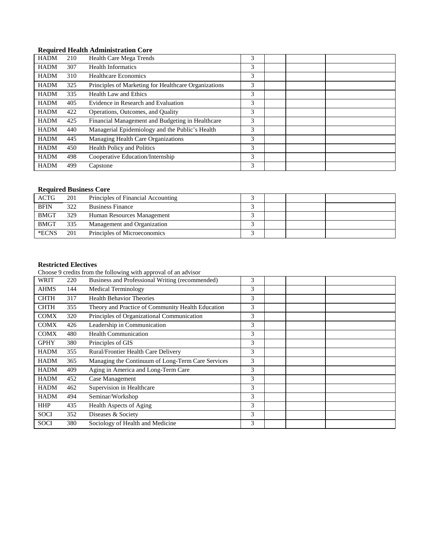#### **Required Health Administration Core**

| <b>HADM</b> | 210 | Health Care Mega Trends                              | 3 |  |  |
|-------------|-----|------------------------------------------------------|---|--|--|
| <b>HADM</b> | 307 | <b>Health Informatics</b>                            | 3 |  |  |
| <b>HADM</b> | 310 | <b>Healthcare Economics</b>                          | 3 |  |  |
| <b>HADM</b> | 325 | Principles of Marketing for Healthcare Organizations | 3 |  |  |
| <b>HADM</b> | 335 | Health Law and Ethics                                | 3 |  |  |
| <b>HADM</b> | 405 | Evidence in Research and Evaluation                  | 3 |  |  |
| <b>HADM</b> | 422 | Operations, Outcomes, and Quality                    | 3 |  |  |
| <b>HADM</b> | 425 | Financial Management and Budgeting in Healthcare     | 3 |  |  |
| <b>HADM</b> | 440 | Managerial Epidemiology and the Public's Health      | 3 |  |  |
| <b>HADM</b> | 445 | Managing Health Care Organizations                   | 3 |  |  |
| <b>HADM</b> | 450 | <b>Health Policy and Politics</b>                    | 3 |  |  |
| <b>HADM</b> | 498 | Cooperative Education/Internship                     | 3 |  |  |
| <b>HADM</b> | 499 | Capstone                                             | 3 |  |  |

# **Required Business Core**

| <b>ACTG</b> | 201 | Principles of Financial Accounting |  |  |
|-------------|-----|------------------------------------|--|--|
| <b>BFIN</b> | 322 | <b>Business Finance</b>            |  |  |
| <b>BMGT</b> | 329 | Human Resources Management         |  |  |
| <b>BMGT</b> | 335 | Management and Organization        |  |  |
| *ECNS       | 201 | Principles of Microeconomics       |  |  |

#### **Restricted Electives**

Choose 9 credits from the following with approval of an advisor

| WRIT        | 220 | Business and Professional Writing (recommended)   | 3 |  |  |
|-------------|-----|---------------------------------------------------|---|--|--|
| <b>AHMS</b> | 144 | <b>Medical Terminology</b>                        | 3 |  |  |
| <b>CHTH</b> | 317 | <b>Health Behavior Theories</b>                   | 3 |  |  |
| <b>CHTH</b> | 355 | Theory and Practice of Community Health Education | 3 |  |  |
| <b>COMX</b> | 320 | Principles of Organizational Communication        | 3 |  |  |
| <b>COMX</b> | 426 | Leadership in Communication                       | 3 |  |  |
| <b>COMX</b> | 480 | <b>Health Communication</b>                       | 3 |  |  |
| <b>GPHY</b> | 380 | Principles of GIS                                 | 3 |  |  |
| <b>HADM</b> | 355 | Rural/Frontier Health Care Delivery               | 3 |  |  |
| <b>HADM</b> | 365 | Managing the Continuum of Long-Term Care Services | 3 |  |  |
| <b>HADM</b> | 409 | Aging in America and Long-Term Care               | 3 |  |  |
| <b>HADM</b> | 452 | Case Management                                   | 3 |  |  |
| <b>HADM</b> | 462 | Supervision in Healthcare                         | 3 |  |  |
| <b>HADM</b> | 494 | Seminar/Workshop                                  | 3 |  |  |
| <b>HHP</b>  | 435 | Health Aspects of Aging                           | 3 |  |  |
| <b>SOCI</b> | 352 | Diseases & Society                                | 3 |  |  |
| <b>SOCI</b> | 380 | Sociology of Health and Medicine                  | 3 |  |  |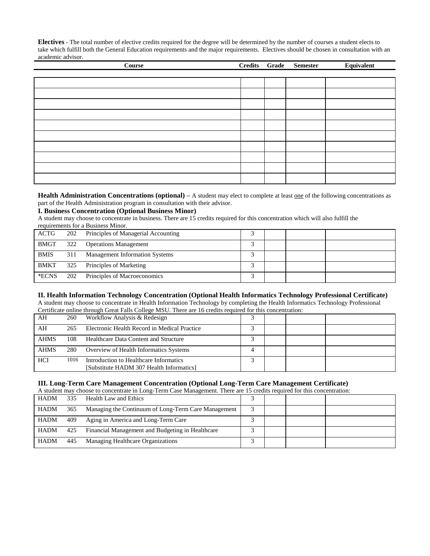**Electives** - The total number of elective credits required for the degree will be determined by the number of courses a student elects to take which fulfill both the General Education requirements and the major requirements. Electives should be chosen in consultation with an academic advisor.

| Course |  | Credits Grade Semester | Equivalent |
|--------|--|------------------------|------------|
|        |  |                        |            |
|        |  |                        |            |
|        |  |                        |            |
|        |  |                        |            |
|        |  |                        |            |
|        |  |                        |            |
|        |  |                        |            |
|        |  |                        |            |
|        |  |                        |            |
|        |  |                        |            |
|        |  |                        |            |

**Health Administration Concentrations (optional)** – A student may elect to complete at least <u>one</u> of the following concentrations as part of the Health Administration program in consultation with their advisor.

#### **I. Business Concentration (Optional Business Minor)**

A student may choose to concentrate in business. There are 15 credits required for this concentration which will also fulfill the requirements for a Business Minor.

| ACTG        | 202 | Principles of Managerial Accounting   |  |  |
|-------------|-----|---------------------------------------|--|--|
| <b>BMGT</b> | 322 | <b>Operations Management</b>          |  |  |
| <b>BMIS</b> | 311 | <b>Management Information Systems</b> |  |  |
| <b>BMKT</b> | 325 | Principles of Marketing               |  |  |
| *ECNS       | 202 | Principles of Macroeconomics          |  |  |

#### **II. Health Information Technology Concentration (Optional Health Informatics Technology Professional Certificate)**

A student may choose to concentrate in Health Information Technology by completing the Health Informatics Technology Professional Certificate online through Great Falls College MSU. There are 16 credits required for this concentration:

| AH          | 260  | Workflow Analysis & Redesign                                                       |  |  |
|-------------|------|------------------------------------------------------------------------------------|--|--|
| AH          | 265  | Electronic Health Record in Medical Practice                                       |  |  |
| <b>AHMS</b> | 108  | Healthcare Data Content and Structure                                              |  |  |
| <b>AHMS</b> | 280  | Overview of Health Informatics Systems                                             |  |  |
| <b>HCI</b>  | 1016 | Introduction to Healthcare Informatics<br>[Substitute HADM 307 Health Informatics] |  |  |

#### **III. Long-Term Care Management Concentration (Optional Long-Term Care Management Certificate)**

| A student may choose to concentrate in Long-Term Case Management. There are 15 credits required for this concentration: |     |                                                     |  |  |  |  |  |
|-------------------------------------------------------------------------------------------------------------------------|-----|-----------------------------------------------------|--|--|--|--|--|
| <b>HADM</b>                                                                                                             | 335 | Health Law and Ethics                               |  |  |  |  |  |
| HADM                                                                                                                    | 365 | Managing the Continuum of Long-Term Care Management |  |  |  |  |  |
| HADM                                                                                                                    | 409 | Aging in America and Long-Term Care                 |  |  |  |  |  |
| HADM                                                                                                                    | 425 | Financial Management and Budgeting in Healthcare    |  |  |  |  |  |
| HADM                                                                                                                    | 445 | Managing Healthcare Organizations                   |  |  |  |  |  |